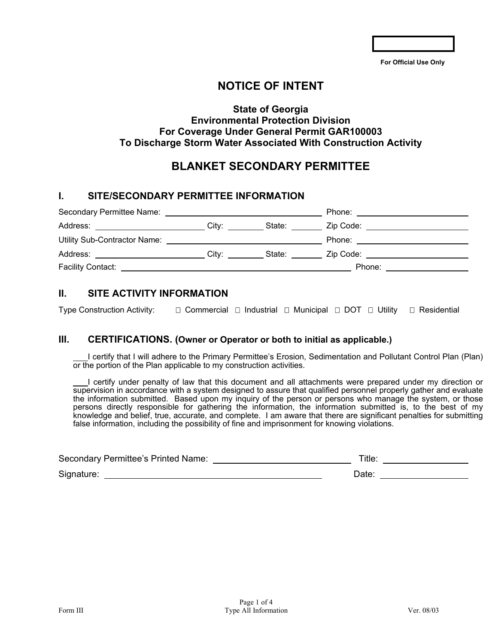**For Official Use Only** 

# **NOTICE OF INTENT**

## **State of Georgia Environmental Protection Division For Coverage Under General Permit GAR100003 To Discharge Storm Water Associated With Construction Activity**

# **BLANKET SECONDARY PERMITTEE**

## **I. SITE/SECONDARY PERMITTEE INFORMATION**

| Secondary Permittee Name: <u>containing</u>                                                                                                                                                                                    |       |        | Phone:    |  |
|--------------------------------------------------------------------------------------------------------------------------------------------------------------------------------------------------------------------------------|-------|--------|-----------|--|
| Address: ______________________                                                                                                                                                                                                | City: | State: | Zip Code: |  |
| Utility Sub-Contractor Name:                                                                                                                                                                                                   |       |        | Phone:    |  |
| Address: Analysis and the control of the control of the control of the control of the control of the control of the control of the control of the control of the control of the control of the control of the control of the c | City: | State: | Zip Code: |  |
| <b>Facility Contact:</b>                                                                                                                                                                                                       |       |        | Phone:    |  |

## **II. SITE ACTIVITY INFORMATION**

Type Construction Activity:  $\square$  Commercial  $\square$  Industrial  $\square$  Municipal  $\square$  DOT  $\square$  Utility  $\square$  Residential

### **III. CERTIFICATIONS. (Owner or Operator or both to initial as applicable.)**

I certify that I will adhere to the Primary Permittee's Erosion, Sedimentation and Pollutant Control Plan (Plan) or the portion of the Plan applicable to my construction activities.

I certify under penalty of law that this document and all attachments were prepared under my direction or supervision in accordance with a system designed to assure that qualified personnel properly gather and evaluate the information submitted. Based upon my inquiry of the person or persons who manage the system, or those persons directly responsible for gathering the information, the information submitted is, to the best of my knowledge and belief, true, accurate, and complete. I am aware that there are significant penalties for submitting false information, including the possibility of fine and imprisonment for knowing violations.

| Secondary Permittee's Printed Name: | ™itle: |
|-------------------------------------|--------|
| Signature:                          | Date:  |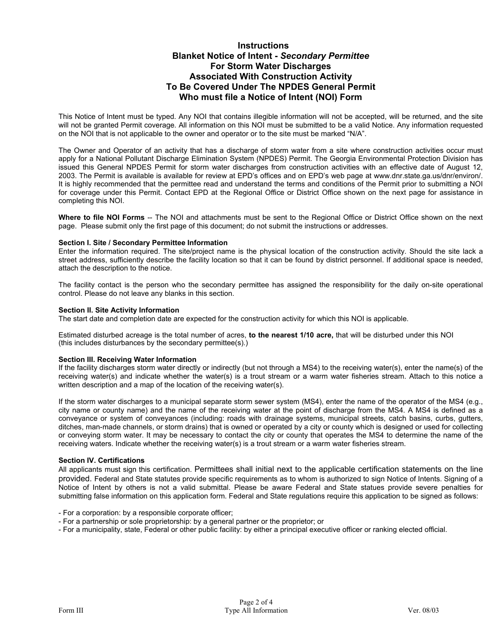### **Instructions Blanket Notice of Intent -** *Secondary Permittee*  **For Storm Water Discharges Associated With Construction Activity To Be Covered Under The NPDES General Permit Who must file a Notice of Intent (NOI) Form**

This Notice of Intent must be typed. Any NOI that contains illegible information will not be accepted, will be returned, and the site will not be granted Permit coverage. All information on this NOI must be submitted to be a valid Notice. Any information requested on the NOI that is not applicable to the owner and operator or to the site must be marked "N/A".

The Owner and Operator of an activity that has a discharge of storm water from a site where construction activities occur must apply for a National Pollutant Discharge Elimination System (NPDES) Permit. The Georgia Environmental Protection Division has issued this General NPDES Permit for storm water discharges from construction activities with an effective date of August 12, 2003. The Permit is available is available for review at EPD's offices and on EPD's web page at www.dnr.state.ga.us/dnr/environ/. It is highly recommended that the permittee read and understand the terms and conditions of the Permit prior to submitting a NOI for coverage under this Permit. Contact EPD at the Regional Office or District Office shown on the next page for assistance in completing this NOI.

**Where to file NOI Forms** -- The NOI and attachments must be sent to the Regional Office or District Office shown on the next page. Please submit only the first page of this document; do not submit the instructions or addresses.

### **Section I. Site / Secondary Permittee Information**

Enter the information required. The site/project name is the physical location of the construction activity. Should the site lack a street address, sufficiently describe the facility location so that it can be found by district personnel. If additional space is needed, attach the description to the notice.

The facility contact is the person who the secondary permittee has assigned the responsibility for the daily on-site operational control. Please do not leave any blanks in this section.

### **Section II. Site Activity Information**

The start date and completion date are expected for the construction activity for which this NOI is applicable.

Estimated disturbed acreage is the total number of acres, **to the nearest 1/10 acre,** that will be disturbed under this NOI (this includes disturbances by the secondary permittee(s).)

### **Section III. Receiving Water Information**

If the facility discharges storm water directly or indirectly (but not through a MS4) to the receiving water(s), enter the name(s) of the receiving water(s) and indicate whether the water(s) is a trout stream or a warm water fisheries stream. Attach to this notice a written description and a map of the location of the receiving water(s).

If the storm water discharges to a municipal separate storm sewer system (MS4), enter the name of the operator of the MS4 (e.g., city name or county name) and the name of the receiving water at the point of discharge from the MS4. A MS4 is defined as a conveyance or system of conveyances (including: roads with drainage systems, municipal streets, catch basins, curbs, gutters, ditches, man-made channels, or storm drains) that is owned or operated by a city or county which is designed or used for collecting or conveying storm water. It may be necessary to contact the city or county that operates the MS4 to determine the name of the receiving waters. Indicate whether the receiving water(s) is a trout stream or a warm water fisheries stream.

### **Section IV. Certifications**

All applicants must sign this certification. Permittees shall initial next to the applicable certification statements on the line provided. Federal and State statutes provide specific requirements as to whom is authorized to sign Notice of Intents. Signing of a Notice of Intent by others is not a valid submittal. Please be aware Federal and State statues provide severe penalties for submitting false information on this application form. Federal and State regulations require this application to be signed as follows:

- For a corporation: by a responsible corporate officer;
- For a partnership or sole proprietorship: by a general partner or the proprietor; or
- For a municipality, state, Federal or other public facility: by either a principal executive officer or ranking elected official.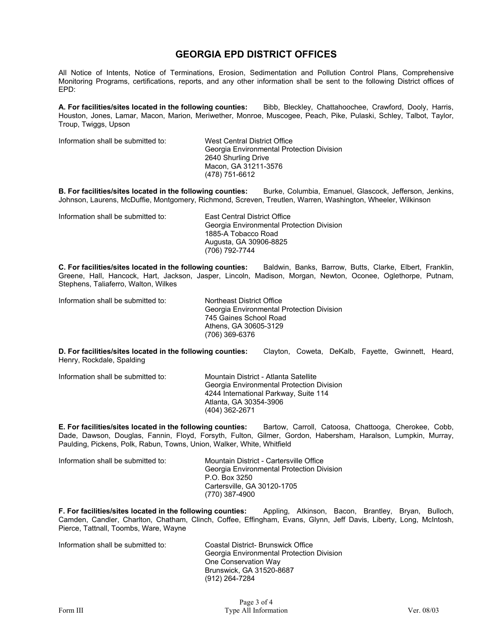## **GEORGIA EPD DISTRICT OFFICES**

All Notice of Intents, Notice of Terminations, Erosion, Sedimentation and Pollution Control Plans, Comprehensive Monitoring Programs, certifications, reports, and any other information shall be sent to the following District offices of EPD:

**A. For facilities/sites located in the following counties:** Bibb, Bleckley, Chattahoochee, Crawford, Dooly, Harris, Houston, Jones, Lamar, Macon, Marion, Meriwether, Monroe, Muscogee, Peach, Pike, Pulaski, Schley, Talbot, Taylor, Troup, Twiggs, Upson

Information shall be submitted to: West Central District Office

Georgia Environmental Protection Division 2640 Shurling Drive Macon, GA 31211-3576 (478) 751-6612

**B. For facilities/sites located in the following counties:** Burke, Columbia, Emanuel, Glascock, Jefferson, Jenkins, Johnson, Laurens, McDuffie, Montgomery, Richmond, Screven, Treutlen, Warren, Washington, Wheeler, Wilkinson

Information shall be submitted to: East Central District Office

 Georgia Environmental Protection Division 1885-A Tobacco Road Augusta, GA 30906-8825 (706) 792-7744

**C. For facilities/sites located in the following counties:** Baldwin, Banks, Barrow, Butts, Clarke, Elbert, Franklin, Greene, Hall, Hancock, Hart, Jackson, Jasper, Lincoln, Madison, Morgan, Newton, Oconee, Oglethorpe, Putnam, Stephens, Taliaferro, Walton, Wilkes

Information shall be submitted to: Northeast District Office

Georgia Environmental Protection Division 745 Gaines School Road Athens, GA 30605-3129 (706) 369-6376

**D. For facilities/sites located in the following counties:** Clayton, Coweta, DeKalb, Fayette, Gwinnett, Heard, Henry, Rockdale, Spalding

| Information shall be submitted to: | Mountain District - Atlanta Satellite     |
|------------------------------------|-------------------------------------------|
|                                    | Georgia Environmental Protection Division |
|                                    | 4244 International Parkway, Suite 114     |
|                                    | Atlanta, GA 30354-3906                    |
|                                    | (404) 362-2671                            |

**E. For facilities/sites located in the following counties:** Bartow, Carroll, Catoosa, Chattooga, Cherokee, Cobb, Dade, Dawson, Douglas, Fannin, Floyd, Forsyth, Fulton, Gilmer, Gordon, Habersham, Haralson, Lumpkin, Murray, Paulding, Pickens, Polk, Rabun, Towns, Union, Walker, White, Whitfield

Information shall be submitted to: Mountain District - Cartersville Office Georgia Environmental Protection Division P.O. Box 3250 Cartersville, GA 30120-1705 (770) 387-4900

**F. For facilities/sites located in the following counties:** Appling, Atkinson, Bacon, Brantley, Bryan, Bulloch, Camden, Candler, Charlton, Chatham, Clinch, Coffee, Effingham, Evans, Glynn, Jeff Davis, Liberty, Long, McIntosh, Pierce, Tattnall, Toombs, Ware, Wayne

Information shall be submitted to: Coastal District- Brunswick Office

Georgia Environmental Protection Division One Conservation Way Brunswick, GA 31520-8687 (912) 264-7284